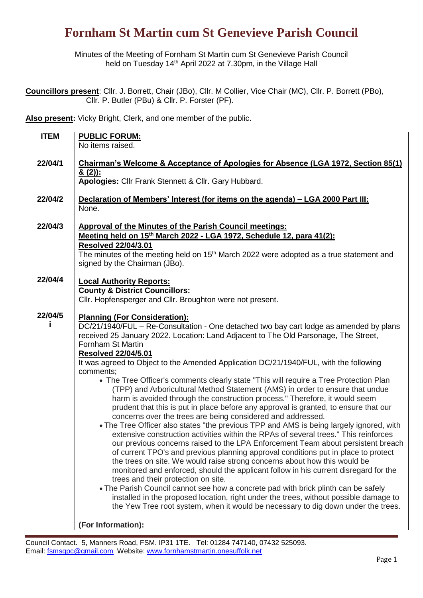Minutes of the Meeting of Fornham St Martin cum St Genevieve Parish Council held on Tuesday 14<sup>th</sup> April 2022 at 7.30pm, in the Village Hall

**Councillors present**: Cllr. J. Borrett, Chair (JBo), Cllr. M Collier, Vice Chair (MC), Cllr. P. Borrett (PBo), Cllr. P. Butler (PBu) & Cllr. P. Forster (PF).

**Also present:** Vicky Bright, Clerk, and one member of the public.

| <b>ITEM</b> | <b>PUBLIC FORUM:</b>                                                                                                                                                        |  |  |  |  |  |
|-------------|-----------------------------------------------------------------------------------------------------------------------------------------------------------------------------|--|--|--|--|--|
|             | No items raised.                                                                                                                                                            |  |  |  |  |  |
| 22/04/1     | Chairman's Welcome & Acceptance of Apologies for Absence (LGA 1972, Section 85(1)                                                                                           |  |  |  |  |  |
|             | <u>&amp; (2)):</u>                                                                                                                                                          |  |  |  |  |  |
|             | Apologies: Cllr Frank Stennett & Cllr. Gary Hubbard.                                                                                                                        |  |  |  |  |  |
| 22/04/2     | Declaration of Members' Interest (for items on the agenda) - LGA 2000 Part III:                                                                                             |  |  |  |  |  |
|             | None.                                                                                                                                                                       |  |  |  |  |  |
| 22/04/3     | <b>Approval of the Minutes of the Parish Council meetings:</b>                                                                                                              |  |  |  |  |  |
|             | Meeting held on 15 <sup>th</sup> March 2022 - LGA 1972, Schedule 12, para 41(2):                                                                                            |  |  |  |  |  |
|             | <b>Resolved 22/04/3.01</b>                                                                                                                                                  |  |  |  |  |  |
|             | The minutes of the meeting held on 15 <sup>th</sup> March 2022 were adopted as a true statement and<br>signed by the Chairman (JBo).                                        |  |  |  |  |  |
| 22/04/4     | <b>Local Authority Reports:</b>                                                                                                                                             |  |  |  |  |  |
|             | <b>County &amp; District Councillors:</b>                                                                                                                                   |  |  |  |  |  |
|             | Cllr. Hopfensperger and Cllr. Broughton were not present.                                                                                                                   |  |  |  |  |  |
| 22/04/5     | <b>Planning (For Consideration):</b>                                                                                                                                        |  |  |  |  |  |
|             | DC/21/1940/FUL – Re-Consultation - One detached two bay cart lodge as amended by plans                                                                                      |  |  |  |  |  |
|             | received 25 January 2022. Location: Land Adjacent to The Old Parsonage, The Street,<br>Fornham St Martin                                                                    |  |  |  |  |  |
|             | <b>Resolved 22/04/5.01</b>                                                                                                                                                  |  |  |  |  |  |
|             | It was agreed to Object to the Amended Application DC/21/1940/FUL, with the following                                                                                       |  |  |  |  |  |
|             | comments;                                                                                                                                                                   |  |  |  |  |  |
|             | • The Tree Officer's comments clearly state "This will require a Tree Protection Plan<br>(TPP) and Arboricultural Method Statement (AMS) in order to ensure that undue      |  |  |  |  |  |
|             | harm is avoided through the construction process." Therefore, it would seem                                                                                                 |  |  |  |  |  |
|             | prudent that this is put in place before any approval is granted, to ensure that our                                                                                        |  |  |  |  |  |
|             | concerns over the trees are being considered and addressed.<br>• The Tree Officer also states "the previous TPP and AMS is being largely ignored, with                      |  |  |  |  |  |
|             | extensive construction activities within the RPAs of several trees." This reinforces                                                                                        |  |  |  |  |  |
|             | our previous concerns raised to the LPA Enforcement Team about persistent breach                                                                                            |  |  |  |  |  |
|             | of current TPO's and previous planning approval conditions put in place to protect<br>the trees on site. We would raise strong concerns about how this would be             |  |  |  |  |  |
|             | monitored and enforced, should the applicant follow in his current disregard for the                                                                                        |  |  |  |  |  |
|             | trees and their protection on site.                                                                                                                                         |  |  |  |  |  |
|             | • The Parish Council cannot see how a concrete pad with brick plinth can be safely<br>installed in the proposed location, right under the trees, without possible damage to |  |  |  |  |  |
|             | the Yew Tree root system, when it would be necessary to dig down under the trees.                                                                                           |  |  |  |  |  |
|             | (For Information):                                                                                                                                                          |  |  |  |  |  |
|             |                                                                                                                                                                             |  |  |  |  |  |

Council Contact. 5, Manners Road, FSM. IP31 1TE. Tel: 01284 747140, 07432 525093. Email: [fsmsgpc@gmail.com](mailto:fsmsgpc@gmail.com) Website[: www.fornhamstmartin.onesuffolk.net](http://www.fornhamstmartin.onesuffolk.net/)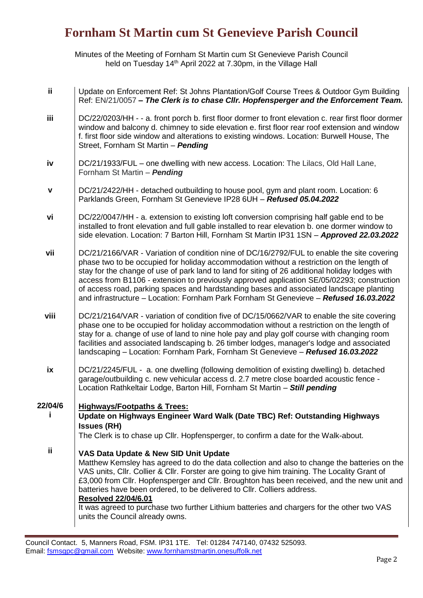Minutes of the Meeting of Fornham St Martin cum St Genevieve Parish Council held on Tuesday 14<sup>th</sup> April 2022 at 7.30pm, in the Village Hall

| ii.         | Update on Enforcement Ref: St Johns Plantation/Golf Course Trees & Outdoor Gym Building<br>Ref: EN/21/0057 - The Clerk is to chase Cllr. Hopfensperger and the Enforcement Team.                                                                                                                                                                                                                                                                                                                                                                                             |
|-------------|------------------------------------------------------------------------------------------------------------------------------------------------------------------------------------------------------------------------------------------------------------------------------------------------------------------------------------------------------------------------------------------------------------------------------------------------------------------------------------------------------------------------------------------------------------------------------|
| iii         | DC/22/0203/HH - - a. front porch b. first floor dormer to front elevation c. rear first floor dormer<br>window and balcony d. chimney to side elevation e. first floor rear roof extension and window<br>f. first floor side window and alterations to existing windows. Location: Burwell House, The<br>Street, Fornham St Martin - Pending                                                                                                                                                                                                                                 |
| iv          | DC/21/1933/FUL – one dwelling with new access. Location: The Lilacs, Old Hall Lane,<br>Fornham St Martin - Pending                                                                                                                                                                                                                                                                                                                                                                                                                                                           |
| $\mathbf v$ | DC/21/2422/HH - detached outbuilding to house pool, gym and plant room. Location: 6<br>Parklands Green, Fornham St Genevieve IP28 6UH - Refused 05.04.2022                                                                                                                                                                                                                                                                                                                                                                                                                   |
| vi          | DC/22/0047/HH - a. extension to existing loft conversion comprising half gable end to be<br>installed to front elevation and full gable installed to rear elevation b. one dormer window to<br>side elevation. Location: 7 Barton Hill, Fornham St Martin IP31 1SN - Approved 22.03.2022                                                                                                                                                                                                                                                                                     |
| vii         | DC/21/2166/VAR - Variation of condition nine of DC/16/2792/FUL to enable the site covering<br>phase two to be occupied for holiday accommodation without a restriction on the length of<br>stay for the change of use of park land to land for siting of 26 additional holiday lodges with<br>access from B1106 - extension to previously approved application SE/05/02293; construction<br>of access road, parking spaces and hardstanding bases and associated landscape planting<br>and infrastructure - Location: Fornham Park Fornham St Genevieve - Refused 16.03.2022 |
| viii        | DC/21/2164/VAR - variation of condition five of DC/15/0662/VAR to enable the site covering<br>phase one to be occupied for holiday accommodation without a restriction on the length of<br>stay for a. change of use of land to nine hole pay and play golf course with changing room<br>facilities and associated landscaping b. 26 timber lodges, manager's lodge and associated<br>Iandscaping - Location: Fornham Park, Fornham St Genevieve - Refused 16.03.2022                                                                                                        |
| ix          | DC/21/2245/FUL - a. one dwelling (following demolition of existing dwelling) b. detached<br>garage/outbuilding c. new vehicular access d. 2.7 metre close boarded acoustic fence -<br>Location Rathkeltair Lodge, Barton Hill, Fornham St Martin - Still pending                                                                                                                                                                                                                                                                                                             |
| 22/04/6     | <b>Highways/Footpaths &amp; Trees:</b><br>Update on Highways Engineer Ward Walk (Date TBC) Ref: Outstanding Highways<br><b>Issues (RH)</b><br>The Clerk is to chase up Cllr. Hopfensperger, to confirm a date for the Walk-about.                                                                                                                                                                                                                                                                                                                                            |
| ij          | VAS Data Update & New SID Unit Update<br>Matthew Kemsley has agreed to do the data collection and also to change the batteries on the<br>VAS units, Cllr. Collier & Cllr. Forster are going to give him training. The Locality Grant of                                                                                                                                                                                                                                                                                                                                      |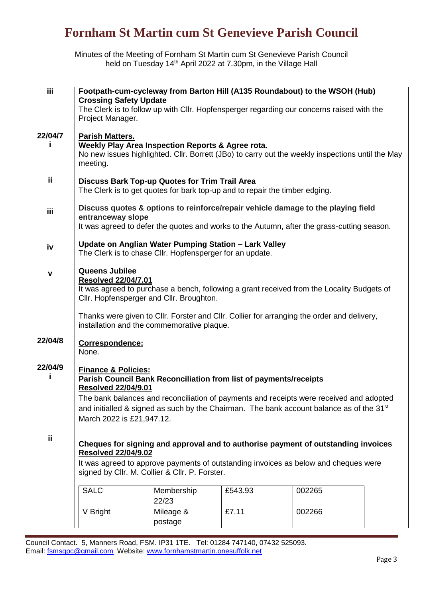Minutes of the Meeting of Fornham St Martin cum St Genevieve Parish Council held on Tuesday 14<sup>th</sup> April 2022 at 7.30pm, in the Village Hall

| iii     | Footpath-cum-cycleway from Barton Hill (A135 Roundabout) to the WSOH (Hub)<br><b>Crossing Safety Update</b>                                                                                                                                                |                      |         |        |  |  |  |  |
|---------|------------------------------------------------------------------------------------------------------------------------------------------------------------------------------------------------------------------------------------------------------------|----------------------|---------|--------|--|--|--|--|
|         | The Clerk is to follow up with Cllr. Hopfensperger regarding our concerns raised with the<br>Project Manager.                                                                                                                                              |                      |         |        |  |  |  |  |
| 22/04/7 | <b>Parish Matters.</b>                                                                                                                                                                                                                                     |                      |         |        |  |  |  |  |
| п       | Weekly Play Area Inspection Reports & Agree rota.<br>No new issues highlighted. Cllr. Borrett (JBo) to carry out the weekly inspections until the May<br>meeting.                                                                                          |                      |         |        |  |  |  |  |
| ij      | <b>Discuss Bark Top-up Quotes for Trim Trail Area</b><br>The Clerk is to get quotes for bark top-up and to repair the timber edging.                                                                                                                       |                      |         |        |  |  |  |  |
| iii     | Discuss quotes & options to reinforce/repair vehicle damage to the playing field<br>entranceway slope<br>It was agreed to defer the quotes and works to the Autumn, after the grass-cutting season.                                                        |                      |         |        |  |  |  |  |
|         |                                                                                                                                                                                                                                                            |                      |         |        |  |  |  |  |
| iv      | Update on Anglian Water Pumping Station - Lark Valley<br>The Clerk is to chase Cllr. Hopfensperger for an update.                                                                                                                                          |                      |         |        |  |  |  |  |
|         | Queens Jubilee                                                                                                                                                                                                                                             |                      |         |        |  |  |  |  |
| v       | <b>Resolved 22/04/7.01</b>                                                                                                                                                                                                                                 |                      |         |        |  |  |  |  |
|         | It was agreed to purchase a bench, following a grant received from the Locality Budgets of<br>Cllr. Hopfensperger and Cllr. Broughton.                                                                                                                     |                      |         |        |  |  |  |  |
|         | Thanks were given to Cllr. Forster and Cllr. Collier for arranging the order and delivery,<br>installation and the commemorative plaque.                                                                                                                   |                      |         |        |  |  |  |  |
| 22/04/8 | Correspondence:<br>None.                                                                                                                                                                                                                                   |                      |         |        |  |  |  |  |
| 22/04/9 | <b>Finance &amp; Policies:</b>                                                                                                                                                                                                                             |                      |         |        |  |  |  |  |
|         | Parish Council Bank Reconciliation from list of payments/receipts                                                                                                                                                                                          |                      |         |        |  |  |  |  |
|         | <b>Resolved 22/04/9.01</b><br>The bank balances and reconciliation of payments and receipts were received and adopted<br>and initialled & signed as such by the Chairman. The bank account balance as of the 31 <sup>st</sup><br>March 2022 is £21,947.12. |                      |         |        |  |  |  |  |
|         |                                                                                                                                                                                                                                                            |                      |         |        |  |  |  |  |
|         |                                                                                                                                                                                                                                                            |                      |         |        |  |  |  |  |
| ii.     |                                                                                                                                                                                                                                                            |                      |         |        |  |  |  |  |
|         | Cheques for signing and approval and to authorise payment of outstanding invoices<br><b>Resolved 22/04/9.02</b><br>It was agreed to approve payments of outstanding invoices as below and cheques were<br>signed by Cllr. M. Collier & Cllr. P. Forster.   |                      |         |        |  |  |  |  |
|         |                                                                                                                                                                                                                                                            |                      |         |        |  |  |  |  |
|         | <b>SALC</b>                                                                                                                                                                                                                                                | Membership<br>22/23  | £543.93 | 002265 |  |  |  |  |
|         | V Bright                                                                                                                                                                                                                                                   | Mileage &<br>postage | £7.11   | 002266 |  |  |  |  |